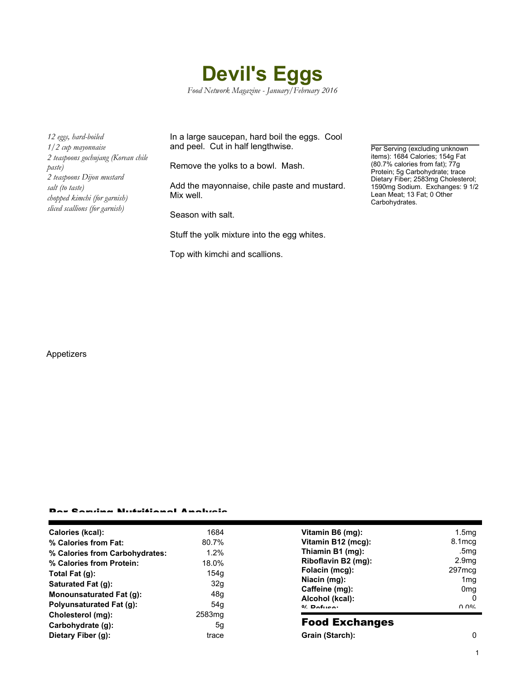

*12 eggs, hard-boiled 1/2 cup mayonnaise 2 teaspoons gochujang (Korean chile paste) 2 teaspoons Dijon mustard salt (to taste) chopped kimchi (for garnish) sliced scallions (for garnish)*

In a large saucepan, hard boil the eggs. Cool and peel. Cut in half lengthwise.

Remove the yolks to a bowl. Mash.

Add the mayonnaise, chile paste and mustard. Mix well.

Season with salt.

Stuff the yolk mixture into the egg whites.

Top with kimchi and scallions.

Per Serving (excluding unknown items): 1684 Calories; 154g Fat (80.7% calories from fat); 77g Protein; 5g Carbohydrate; trace Dietary Fiber; 2583mg Cholesterol; 1590mg Sodium. Exchanges: 9 1/2 Lean Meat; 13 Fat; 0 Other Carbohydrates.

Appetizers

## Per Serving Nutritional Analysis

| Calories (kcal):                | 1684               | Vitamin B6 (mg):                                                    | 1.5 <sub>mq</sub>                          |
|---------------------------------|--------------------|---------------------------------------------------------------------|--------------------------------------------|
| % Calories from Fat:            | 80.7%              | Vitamin B12 (mcg):                                                  | 8.1 mcg                                    |
| % Calories from Carbohydrates:  | 1.2%               | Thiamin B1 (mg):                                                    | .5mg                                       |
| % Calories from Protein:        | 18.0%              | Riboflavin B2 (mg):                                                 | 2.9 <sub>mg</sub>                          |
| Total Fat (g):                  | 154q               | Folacin (mcg):                                                      | 297mcg                                     |
| Saturated Fat (g):              | 32g                | Niacin (mg):<br>Caffeine (mg):<br>Alcohol (kcal):<br>$0/2$ Pofileo: | 1 <sub>mq</sub>                            |
| <b>Monounsaturated Fat (g):</b> | 48 <sub>g</sub>    |                                                                     | 0 <sub>mq</sub>                            |
| <b>Polyunsaturated Fat (g):</b> | 54q                |                                                                     | 0<br>$\Omega$ $\Omega$ <sup>o</sup> $\sim$ |
| Cholesterol (mg):               | 2583 <sub>mq</sub> |                                                                     |                                            |
| Carbohydrate (g):               | 5g                 | <b>Food Exchanges</b>                                               |                                            |
| Dietary Fiber (g):              | trace              | Grain (Starch):                                                     | 0                                          |